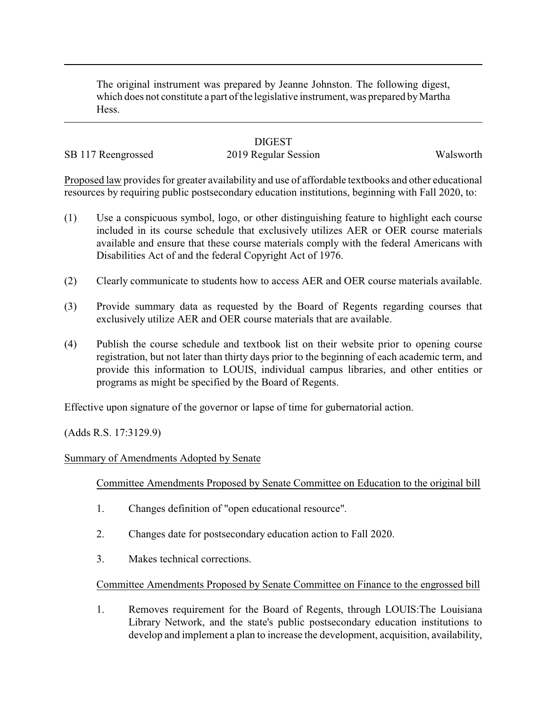The original instrument was prepared by Jeanne Johnston. The following digest, which does not constitute a part of the legislative instrument, was prepared by Martha Hess.

## **DIGEST**

SB 117 Reengrossed 2019 Regular Session Walsworth

Proposed law provides for greater availability and use of affordable textbooks and other educational resources by requiring public postsecondary education institutions, beginning with Fall 2020, to:

- (1) Use a conspicuous symbol, logo, or other distinguishing feature to highlight each course included in its course schedule that exclusively utilizes AER or OER course materials available and ensure that these course materials comply with the federal Americans with Disabilities Act of and the federal Copyright Act of 1976.
- (2) Clearly communicate to students how to access AER and OER course materials available.
- (3) Provide summary data as requested by the Board of Regents regarding courses that exclusively utilize AER and OER course materials that are available.
- (4) Publish the course schedule and textbook list on their website prior to opening course registration, but not later than thirty days prior to the beginning of each academic term, and provide this information to LOUIS, individual campus libraries, and other entities or programs as might be specified by the Board of Regents.

Effective upon signature of the governor or lapse of time for gubernatorial action.

(Adds R.S. 17:3129.9)

## Summary of Amendments Adopted by Senate

Committee Amendments Proposed by Senate Committee on Education to the original bill

- 1. Changes definition of "open educational resource".
- 2. Changes date for postsecondary education action to Fall 2020.
- 3. Makes technical corrections.

Committee Amendments Proposed by Senate Committee on Finance to the engrossed bill

1. Removes requirement for the Board of Regents, through LOUIS:The Louisiana Library Network, and the state's public postsecondary education institutions to develop and implement a plan to increase the development, acquisition, availability,